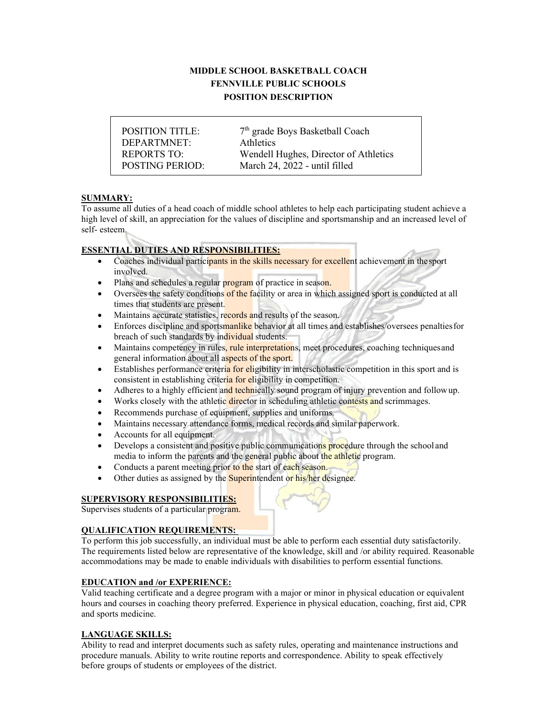# **MIDDLE SCHOOL BASKETBALL COACH FENNVILLE PUBLIC SCHOOLS POSITION DESCRIPTION**

DEPARTMNET: Athletics

POSITION TITLE: 7<sup>th</sup> grade Boys Basketball Coach REPORTS TO: Wendell Hughes, Director of Athletics POSTING PERIOD: March 24, 2022 - until filled

# **SUMMARY:**

To assume all duties of a head coach of middle school athletes to help each participating student achieve a high level of skill, an appreciation for the values of discipline and sportsmanship and an increased level of self- esteem.

# **ESSENTIAL DUTIES AND RESPONSIBILITIES:**

- Coaches individual participants in the skills necessary for excellent achievement in thesport involved.
- Plans and schedules a regular program of practice in season.
- Oversees the safety conditions of the facility or area in which assigned sport is conducted at all times that students are present.
- Maintains accurate statistics, records and results of the season.
- Enforces discipline and sportsmanlike behavior at all times and establishes/oversees penalties for breach of such standards by individual students.
- Maintains competency in rules, rule interpretations, meet procedures, coaching techniques and general information about all aspects of the sport.
- Establishes performance criteria for eligibility in interscholastic competition in this sport and is consistent in establishing criteria for eligibility in competition.
- Adheres to a highly efficient and technically sound program of injury prevention and followup.
- Works closely with the athletic director in scheduling athletic contests and scrimmages.
- Recommends purchase of equipment, supplies and uniforms.
- Maintains necessary attendance forms, medical records and similar paperwork.
- Accounts for all equipment.
- Develops a consistent and positive public communications procedure through the school and media to inform the parents and the general public about the athletic program.
- Conducts a parent meeting prior to the start of each season.
- Other duties as assigned by the **Superintendent** or his/her designee.

### **SUPERVISORY RESPONSIBILITIES:**

Supervises students of a particular program.

# **QUALIFICATION REQUIREMENTS:**

To perform this job successfully, an individual must be able to perform each essential duty satisfactorily. The requirements listed below are representative of the knowledge, skill and /or ability required. Reasonable accommodations may be made to enable individuals with disabilities to perform essential functions.

### **EDUCATION and /or EXPERIENCE:**

Valid teaching certificate and a degree program with a major or minor in physical education or equivalent hours and courses in coaching theory preferred. Experience in physical education, coaching, first aid, CPR and sports medicine.

# **LANGUAGE SKILLS:**

Ability to read and interpret documents such as safety rules, operating and maintenance instructions and procedure manuals. Ability to write routine reports and correspondence. Ability to speak effectively before groups of students or employees of the district.